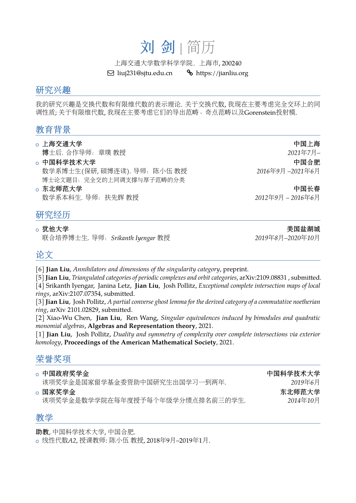# 刘 剑 <sup>|</sup> 简<sup>历</sup>

上海交通大学数学科学学院, 上海市, 200240<br>| liuj231@sjtu.edu.cn % https://jianliu.org

 $\boxdot$  liuj231@sjtu.edu.cn

#### <sup>研</sup>究兴<sup>趣</sup>

我的研究兴趣是交换代数和有限维代数的表示理论. <sup>关</sup>于交换代数, 我现在主要考虑完全交环上的<sup>同</sup> 调性质; <sup>关</sup>于有限维代数, 我现在主要考虑它们的导出范畴、奇点范畴以及Gorenstein投射模.

# 教育背景

- 。上海交通大学<br>- <del>博士氏 泰佐曼师、普</del>瑞 <del>新婚</del>
- <sup>博</sup>士后*.* <sup>合</sup>作导师:章<sup>璞</sup> <sup>教</sup><sup>授</sup> *<sup>2021</sup>*年*7*月*–* <sup>+</sup> <sup>中</sup>国科学技术大<sup>学</sup> <sup>中</sup>国合<sup>肥</sup> <sup>数</sup>学系博士生*(*保研*,* <sup>硕</sup>博连读*).* <sup>导</sup>师:陈小<sup>伍</sup> <sup>教</sup><sup>授</sup> *<sup>2016</sup>*年*9*<sup>月</sup> *–2021*年*6*<sup>月</sup> 博士论文题目:完全交的上同调支撑与厚子范畴的分类<br>。东北师**范大学**
- <sup>+</sup> <sup>东</sup>北师范大<sup>学</sup> <sup>中</sup>国长<sup>春</sup> <sup>数</sup>学系本科生*.* <sup>导</sup>师:扶先<sup>辉</sup> <sup>教</sup><sup>授</sup> *<sup>2012</sup>*年*9*<sup>月</sup> *– 2016*年*6*<sup>月</sup>

# <u>研究经历</u><br>。<sup>犹他大学</sup>

<sup>+</sup> <sup>犹</sup>他大<sup>学</sup> <sup>美</sup>国盐湖<sup>城</sup> <sup>联</sup>合培养博士生*.* <sup>导</sup>师:*Srikanth Iyengar* <sup>教</sup><sup>授</sup> *<sup>2019</sup>*年*8*月*–2020*年*10*<sup>月</sup>

## 论文

- [6] **Jian Liu**, *Annihilators and dimensions of the singularity category*, preprint.
- [5] **Jian Liu**, *Triangulated categories of periodic complexes and orbit categories*, arXiv:2109.08831 , submitted.
- [4] Srikanth Iyengar, Janina Letz, **Jian Liu**, Josh Pollitz, *Exceptional complete intersection maps of local rings*, arXiv:2107.07354, submitted.

[3] **Jian Liu**, Josh Pollitz, *A partial converse ghost lemma for the derived category of a commutative noetherian ring*, arXiv 2101.02829, submitted.

[2] Xiao-Wu Chen, **Jian Liu**, Ren Wang, *Singular equivalences induced by bimodules and quadratic monomial algebras*, **Algebras and Representation theory**, 2021.

[1] **Jian Liu**, Josh Pollitz, *Duality and symmetry of complexity over complete intersections via exterior homology*, **Proceedings of the American Mathematical Society**, 2021.

# <sup>荣</sup>誉奖项

| 。中国政府奖学金<br>该项奖学金是国家留学基金委资助中国研究生出国学习一到两年.  | 中国科学技术大学<br>2019年6月 |
|--------------------------------------------|---------------------|
| 。国家奖学金<br>该项奖学金是数学学院在每年度授予每个年级学分绩点排名前三的学生. | 东北师范大学<br>2014年10月  |

#### 教学

<sup>助</sup>教, <sup>中</sup>国科学技术大学, <sup>中</sup>国合肥.

<sup>+</sup> <sup>线</sup>性代数*A2*, <sup>授</sup>课教师: <sup>陈</sup>小<sup>伍</sup> <sup>教</sup>授, 2018年9月–2019年1月.